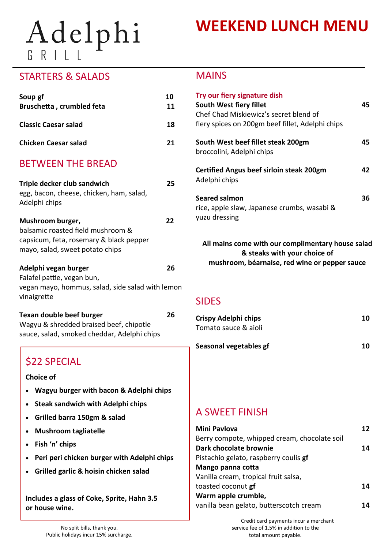# Adelphi

## **WEEKEND LUNCH MENU**

### STARTERS & SALADS

| Soup gf<br><b>Bruschetta, crumbled feta</b>                                                                                                                                                                                                                                              | 10<br>11 |
|------------------------------------------------------------------------------------------------------------------------------------------------------------------------------------------------------------------------------------------------------------------------------------------|----------|
| <b>Classic Caesar salad</b>                                                                                                                                                                                                                                                              | 18       |
| <b>Chicken Caesar salad</b>                                                                                                                                                                                                                                                              | 21       |
| <b>BETWEEN THE BREAD</b>                                                                                                                                                                                                                                                                 |          |
| Triple decker club sandwich<br>egg, bacon, cheese, chicken, ham, salad,<br>Adelphi chips                                                                                                                                                                                                 | 25       |
| Mushroom burger,<br>balsamic roasted field mushroom &<br>capsicum, feta, rosemary & black pepper<br>mayo, salad, sweet potato chips                                                                                                                                                      | 22       |
| Adelphi vegan burger<br>Falafel pattie, vegan bun,<br>vegan mayo, hommus, salad, side salad with lemon<br>vinaigrette                                                                                                                                                                    | 26       |
| <b>Texan double beef burger</b><br>Wagyu & shredded braised beef, chipotle<br>sauce, salad, smoked cheddar, Adelphi chips                                                                                                                                                                | 26       |
| \$22 SPECIAL<br>Choice of<br>Wagyu burger with bacon & Adelphi chips<br><b>Steak sandwich with Adelphi chips</b><br>Grilled barra 150gm & salad<br><b>Mushroom tagliatelle</b><br>Fish 'n' chips<br>Peri peri chicken burger with Adelphi chips<br>Grilled garlic & hoisin chicken salad |          |
| Includes a glass of Coke, Sprite, Habn 2 E                                                                                                                                                                                                                                               |          |

**Includes a glass of Coke, Sprite, Hahn 3.5 or house wine.**

#### MAINS

| Try our fiery signature dish<br>South West fiery fillet<br>Chef Chad Miskiewicz's secret blend of<br>fiery spices on 200gm beef fillet, Adelphi chips | 45 |
|-------------------------------------------------------------------------------------------------------------------------------------------------------|----|
| South West beef fillet steak 200gm<br>broccolini, Adelphi chips                                                                                       | 45 |
| <b>Certified Angus beef sirloin steak 200gm</b><br>Adelphi chips                                                                                      | 42 |
| Seared salmon<br>rice, apple slaw, Japanese crumbs, wasabi &<br>yuzu dressing                                                                         | 36 |

**All mains come with our complimentary house salad & steaks with your choice of mushroom, béarnaise, red wine or pepper sauce**

#### SIDES

| <b>Crispy Adelphi chips</b><br>Tomato sauce & aioli | 10 |
|-----------------------------------------------------|----|
| Seasonal vegetables gf                              | 10 |
|                                                     |    |
|                                                     |    |
| -------                                             |    |

## A SWEET FINISH

| <b>Mini Pavlova</b>                          | 12 |
|----------------------------------------------|----|
| Berry compote, whipped cream, chocolate soil |    |
| Dark chocolate brownie                       | 14 |
| Pistachio gelato, raspberry coulis gf        |    |
| Mango panna cotta                            |    |
| Vanilla cream, tropical fruit salsa,         |    |
| toasted coconut gf                           | 14 |
| Warm apple crumble,                          |    |
| vanilla bean gelato, butterscotch cream      |    |

Credit card payments incur a merchant service fee of 1.5% in addition to the total amount payable.